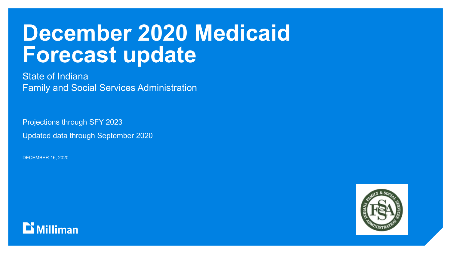## **December 2020 Medicaid Forecast update**

State of Indiana Family and Social Services Administration

Projections through SFY 2023

Updated data through September 2020

DECEMBER 16, 2020

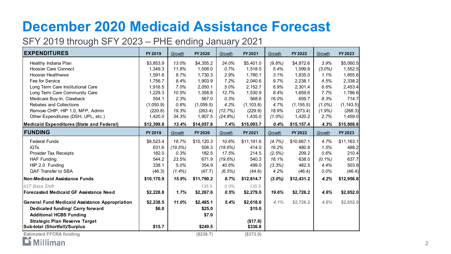### **December 2020 Medicaid Assistance Forecast**

#### SFY 2019 through SFY 2023 – PHE ending January 2021

| <b>EXPENDITURES</b>                                   | FY 2019    | Growth    | FY 2020    | Growth     | FY 2021    | Growth    | FY 2022    | Growth    | FY 2023    |
|-------------------------------------------------------|------------|-----------|------------|------------|------------|-----------|------------|-----------|------------|
| Healthy Indiana Plan                                  | \$3,853.9  | 13.0%     | \$4,355.2  | 24.0%      | \$5,401.0  | (9.8%)    | \$4,872.6  | 3.9%      | \$5,060.5  |
| <b>Hoosier Care Connect</b>                           | 1,349.3    | 11.8%     | 1,508.0    | 0.7%       | 1,518.5    | 5.4%      | 1,599.8    | $(3.0\%)$ | 1,552.5    |
| <b>Hoosier Healthwise</b>                             | 1,591.6    | 8.7%      | 1,730.3    | 2.9%       | 1,780.1    | 3.1%      | 1,835.0    | 1.1%      | 1,855.6    |
| Fee for Service                                       | 1,756.7    | 8.4%      | 1,903.9    | 7.2%       | 2,040.6    | 9.7%      | 2,238.1    | 4.5%      | 2,338.2    |
| Long Term Care Institutional Care                     | 1,916.5    | 7.0%      | 2,050.1    | 5.0%       | 2,152.7    | 6.9%      | 2,301.4    | 6.6%      | 2,453.4    |
| Long Term Care Community Care                         | 1,229.3    | 10.5%     | 1,358.8    | 12.7%      | 1,530.9    | 8.4%      | 1,659.6    | 7.7%      | 1,786.6    |
| Medicare Buy-In, Clawback                             | 554.1      | 2.3%      | 567.0      | 0.3%       | 568.6      | 16.0%     | 659.7      | 8.3%      | 714.7      |
| Rebates and Collections                               | (1,050.9)  | 0.8%      | (1,059.5)  | 4.2%       | (1, 103.8) | 4.7%      | (1, 155.5) | $(1.0\%)$ | (1, 143.5) |
| Remove CHIP, HIP 1.0, MFP, Admin                      | (220.8)    | 19.3%     | (263.4)    | (12.7%)    | (229.9)    | 18.9%     | (273.4)    | (1.9%)    | (268.3)    |
| Other Expenditures (DSH, UPL, etc.)                   | 1,420.0    | 34.3%     | 1,907.5    | (24.8%)    | 1,435.0    | $(1.0\%)$ | 1,420.2    | 2.7%      | 1,459.0    |
| <b>Medicaid Expenditures (State and Federal)</b>      | \$12,399.8 | 13.4%     | \$14,057.8 | 7.4%       | \$15,093.7 | 0.4%      | \$15,157.4 | 4.3%      | \$15,808.8 |
| <b>FUNDING</b>                                        | FY 2019    | Growth    | FY 2020    | Growth     | FY 2021    | Growth    | FY 2022    | Growth    | FY 2023    |
| <b>Federal Funds</b>                                  | \$8,523.4  | 18.7%     | \$10,120.3 | 10.6%      | \$11,191.6 | (4.7%)    | \$10,667.1 | 4.7%      | \$11,163.1 |
| <b>IGTs</b>                                           | 631.6      | (19.5%)   | 508.3      | (18.6%)    | 414.0      | 16.2%     | 480.8      | 1.5%      | 488.2      |
| Provider Tax Receipts                                 | 182.0      | 0.3%      | 182.5      | 17.5%      | 214.5      | (2.5%)    | 209.2      | 0.6%      | 210.4      |
| <b>HAF Funding</b>                                    | 544.2      | 23.5%     | 671.9      | $(19.6\%)$ | 540.3      | 18.1%     | 638.0      | $(0.1\%)$ | 637.7      |
| HIP 2.0 Funding                                       | 338.1      | 5.0%      | 354.9      | 40.6%      | 499.0      | (3.3%)    | 482.5      | 4.4%      | 503.8      |
| QAF Transfer to SBA                                   | (48.3)     | $(1.4\%)$ | (47.7)     | (6.5%)     | (44.6)     | 4.2%      | (46.4)     | 0.0%      | (46.4)     |
| <b>Non-Medicaid Assistance Funds</b>                  | \$10,170.9 | 15.9%     | \$11,790.2 | 8.7%       | \$12,814.7 | $(3.0\%)$ | \$12,431.2 | 4.2%      | \$12,956.8 |
| <b>IGT Base Shift</b>                                 |            |           | 135.5      | $0.0\%$    | 135.5      |           |            |           |            |
| <b>Forecasted Medicaid GF Assistance Need</b>         | \$2,228.8  | 1.7%      | \$2,267.6  | 0.5%       | \$2,279.0  | 19.6%     | \$2,726.2  | 4.6%      | \$2,852.0  |
| <b>General Fund Medicaid Assistance Appropriation</b> | \$2,238.5  | 11.0%     | \$2,485.1  | 5.4%       | \$2,618.6  | 4.1%      | \$2,726.2  | 4.6%      | \$2,852.0  |
| Dedicated funding/ Carry forward                      | \$6.0      |           | \$25.0     |            | \$15.0     |           |            |           |            |
| <b>Additional HCBS Funding</b>                        |            |           | \$7.0      |            |            |           |            |           |            |
| <b>Strategic Plan Reserve Target</b>                  |            |           |            |            | (\$17.8)   |           |            |           |            |
| Sub-total (Shortfall)/Surplus                         | \$15.7     |           | \$249.5    |            | \$336.8    |           |            |           |            |
| <b>Estimated FFCRA funding</b>                        |            |           | (\$238.7)  |            | (\$373.0)  |           |            |           |            |

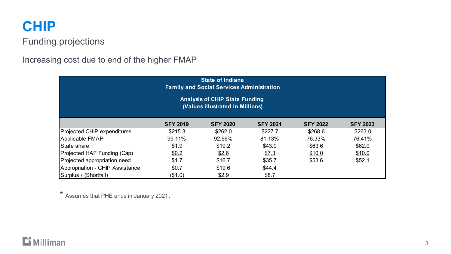### **CHIP**

#### Funding projections

#### Increasing cost due to end of the higher FMAP

| <b>State of Indiana</b><br><b>Family and Social Services Administration</b> |                 |                 |                 |                 |                 |  |  |  |  |  |
|-----------------------------------------------------------------------------|-----------------|-----------------|-----------------|-----------------|-----------------|--|--|--|--|--|
| <b>Analysis of CHIP State Funding</b><br>(Values illustrated in Millions)   |                 |                 |                 |                 |                 |  |  |  |  |  |
|                                                                             | <b>SFY 2019</b> | <b>SFY 2020</b> | <b>SFY 2021</b> | <b>SFY 2022</b> | <b>SFY 2023</b> |  |  |  |  |  |
| Projected CHIP expenditures                                                 | \$215.3         | \$262.0         | \$227.7         | \$268.6         | \$263.0         |  |  |  |  |  |
| Applicable FMAP                                                             | 99.11%          | 92.66%          | 81.13%          | 76.33%          | 76.41%          |  |  |  |  |  |
| State share                                                                 | \$1.9           | \$19.2          | \$43.0          | \$63.6          | \$62.0          |  |  |  |  |  |
| Projected HAF Funding (Cap)                                                 | \$0.2           | \$2.6           | \$7.3           | \$10.0          | \$10.0          |  |  |  |  |  |
| Projected appropriation need                                                | \$1.7           | \$16.7          | \$35.7          | \$53.6          | \$52.1          |  |  |  |  |  |
| Appropriation - CHIP Assistance                                             | \$0.7           | \$19.6          | \$44.4          |                 |                 |  |  |  |  |  |
| Surplus / (Shortfall)                                                       | (\$1.0)         | \$2.9           | \$8.7           |                 |                 |  |  |  |  |  |

\* Assumes that PHE ends in January 2021.

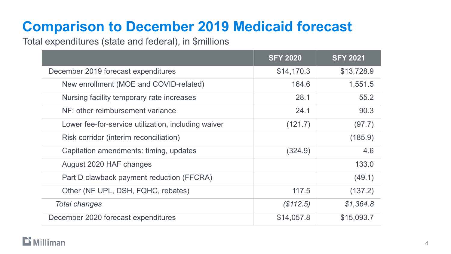### **Comparison to December 2019 Medicaid forecast**

#### Total expenditures (state and federal), in \$millions

|                                                     | <b>SFY 2020</b> | <b>SFY 2021</b> |
|-----------------------------------------------------|-----------------|-----------------|
| December 2019 forecast expenditures                 | \$14,170.3      | \$13,728.9      |
| New enrollment (MOE and COVID-related)              | 164.6           | 1,551.5         |
| Nursing facility temporary rate increases           | 28.1            | 55.2            |
| NF: other reimbursement variance                    | 24.1            | 90.3            |
| Lower fee-for-service utilization, including waiver | (121.7)         | (97.7)          |
| Risk corridor (interim reconciliation)              |                 | (185.9)         |
| Capitation amendments: timing, updates              | (324.9)         | 4.6             |
| August 2020 HAF changes                             |                 | 133.0           |
| Part D clawback payment reduction (FFCRA)           |                 | (49.1)          |
| Other (NF UPL, DSH, FQHC, rebates)                  | 117.5           | (137.2)         |
| <b>Total changes</b>                                | (\$112.5)       | \$1,364.8       |
| December 2020 forecast expenditures                 | \$14,057.8      | \$15,093.7      |

#### $\mathbf{D}$  Milliman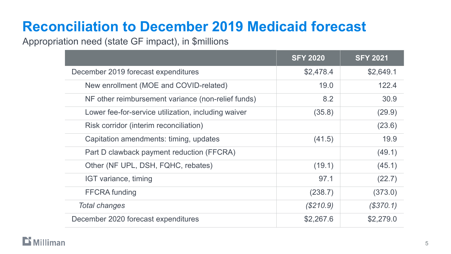### **Reconciliation to December 2019 Medicaid forecast**

Appropriation need (state GF impact), in \$millions

|                                                     | <b>SFY 2020</b> | <b>SFY 2021</b> |
|-----------------------------------------------------|-----------------|-----------------|
| December 2019 forecast expenditures                 | \$2,478.4       | \$2,649.1       |
| New enrollment (MOE and COVID-related)              | 19.0            | 122.4           |
| NF other reimbursement variance (non-relief funds)  | 8.2             | 30.9            |
| Lower fee-for-service utilization, including waiver | (35.8)          | (29.9)          |
| Risk corridor (interim reconciliation)              |                 | (23.6)          |
| Capitation amendments: timing, updates              | (41.5)          | 19.9            |
| Part D clawback payment reduction (FFCRA)           |                 | (49.1)          |
| Other (NF UPL, DSH, FQHC, rebates)                  | (19.1)          | (45.1)          |
| IGT variance, timing                                | 97.1            | (22.7)          |
| <b>FFCRA</b> funding                                | (238.7)         | (373.0)         |
| <b>Total changes</b>                                | (S210.9)        | (S370.1)        |
| December 2020 forecast expenditures                 | \$2,267.6       | \$2,279.0       |

#### $\mathbf{D}$  Milliman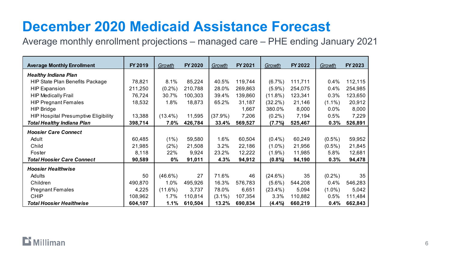### **December 2020 Medicaid Assistance Forecast**

Average monthly enrollment projections – managed care – PHE ending January 2021

| <b>Average Monthly Enrollment</b>           | FY 2019 | Growth     | FY 2020 | Growth     | FY 2021 | Growth     | FY 2022 | Growth    | FY 2023 |
|---------------------------------------------|---------|------------|---------|------------|---------|------------|---------|-----------|---------|
| <b>Healthy Indiana Plan</b>                 |         |            |         |            |         |            |         |           |         |
| <b>HIP State Plan Benefits Package</b>      | 78,821  | 8.1%       | 85,224  | 40.5%      | 119,744 | $(6.7\%)$  | 111,711 | 0.4%      | 112,115 |
| <b>HIP Expansion</b>                        | 211,250 | $(0.2\%)$  | 210,788 | 28.0%      | 269,863 | $(5.9\%)$  | 254,075 | 0.4%      | 254,985 |
| <b>HIP Medically Frail</b>                  | 76,724  | 30.7%      | 100,303 | 39.4%      | 139,860 | $(11.8\%)$ | 123,341 | 0.3%      | 123,650 |
| <b>HIP Pregnant Females</b>                 | 18,532  | 1.8%       | 18,873  | 65.2%      | 31,187  | $(32.2\%)$ | 21,146  | $(1.1\%)$ | 20,912  |
| <b>HIP Bridge</b>                           |         |            |         |            | 1,667   | 380.0%     | 8,000   | $0.0\%$   | 8,000   |
| <b>HIP Hospital Presumptive Eligibility</b> | 13,388  | $(13.4\%)$ | 11,595  | $(37.9\%)$ | 7,206   | $(0.2\%)$  | 7,194   | 0.5%      | 7,229   |
| <b>Total Healthy Indiana Plan</b>           | 398,714 | 7.0%       | 426,784 | 33.4%      | 569,527 | (7.7%)     | 525,467 | 0.3%      | 526,891 |
| <b>Hoosier Care Connect</b>                 |         |            |         |            |         |            |         |           |         |
| Adult                                       | 60,485  | (1%)       | 59,580  | 1.6%       | 60,504  | $(0.4\%)$  | 60,249  | $(0.5\%)$ | 59,952  |
| Child                                       | 21,985  | (2%)       | 21,508  | 3.2%       | 22,186  | $(1.0\%)$  | 21,956  | $(0.5\%)$ | 21,845  |
| Foster                                      | 8,118   | 22%        | 9,924   | 23.2%      | 12,222  | $(1.9\%)$  | 11,985  | 5.8%      | 12,681  |
| <b>Total Hoosier Care Connect</b>           | 90,589  | $0\%$      | 91,011  | 4.3%       | 94,912  | $(0.8\%)$  | 94,190  | 0.3%      | 94,478  |
| <b>Hoosier Healthwise</b>                   |         |            |         |            |         |            |         |           |         |
| Adults                                      | 50      | $(46.6\%)$ | 27      | 71.6%      | 46      | $(24.6\%)$ | 35      | $(0.2\%)$ | 35      |
| Children                                    | 490,870 | 1.0%       | 495,926 | 16.3%      | 576,783 | $(5.6\%)$  | 544,208 | 0.4%      | 546,283 |
| <b>Pregnant Females</b>                     | 4,225   | $(11.6\%)$ | 3,737   | 78.0%      | 6,651   | $(23.4\%)$ | 5,094   | $(1.0\%)$ | 5,042   |
| <b>CHIP</b>                                 | 108,962 | 1.7%       | 110,814 | $(3.1\%)$  | 107,354 | 3.3%       | 110,882 | 0.5%      | 111,484 |
| <b>Total Hoosier Healthwise</b>             | 604,107 | 1.1%       | 610,504 | 13.2%      | 690,834 | $(4.4\%)$  | 660,219 | 0.4%      | 662,843 |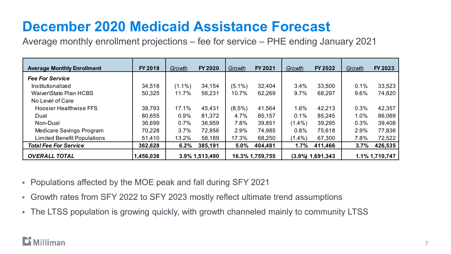### **December 2020 Medicaid Assistance Forecast**

Average monthly enrollment projections – fee for service – PHE ending January 2021

| <b>Average Monthly Enrollment</b>  | FY 2019   | Growth    | <b>FY 2020</b> | Growth    | FY 2021         | Growth    | FY 2022             | Growth | FY 2023        |
|------------------------------------|-----------|-----------|----------------|-----------|-----------------|-----------|---------------------|--------|----------------|
| <b>Fee For Service</b>             |           |           |                |           |                 |           |                     |        |                |
| Institutionalized                  | 34,518    | $(1.1\%)$ | 34,154         | $(5.1\%)$ | 32,404          | 3.4%      | 33,500              | 0.1%   | 33,523         |
| Waiver\State Plan HCBS             | 50,325    | 11.7%     | 56,231         | 10.7%     | 62,269          | 9.7%      | 68,297              | 9.6%   | 74,820         |
| No Level of Care                   |           |           |                |           |                 |           |                     |        |                |
| <b>Hoosier Healthwise FFS</b>      | 38,793    | 17.1%     | 45,431         | $(8.5\%)$ | 41,564          | 1.6%      | 42,213              | 0.3%   | 42,357         |
| Dual                               | 80,655    | 0.9%      | 81,372         | 4.7%      | 85,157          | 0.1%      | 85,245              | 1.0%   | 86,069         |
| Non-Dual                           | 36,699    | 0.7%      | 36,959         | 7.8%      | 39,851          | $(1.4\%)$ | 39,295              | 0.3%   | 39,408         |
| Medicare Savings Program           | 70,228    | 3.7%      | 72,856         | 2.9%      | 74,985          | 0.8%      | 75,618              | 2.9%   | 77,836         |
| <b>Limited Benefit Populations</b> | 51,410    | 13.2%     | 58,189         | 17.3%     | 68,250          | $(1.4\%)$ | 67,300              | 7.8%   | 72,522         |
| <b>Total Fee For Service</b>       | 362,628   | 6.2%      | 385,191        | 5.0%      | 404,481         | $1.7\%$   | 411,466             | 3.7%   | 426,535        |
| <b>OVERALL TOTAL</b>               | 1,456,038 |           | 3.9% 1,513,490 |           | 16.3% 1,759,755 |           | $(3.9\%)$ 1,691,343 |        | 1.1% 1,710,747 |

- Populations affected by the MOE peak and fall during SFY 2021
- Growth rates from SFY 2022 to SFY 2023 mostly reflect ultimate trend assumptions
- The LTSS population is growing quickly, with growth channeled mainly to community LTSS

### **Milliman**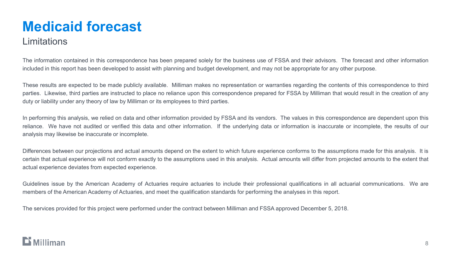### **Medicaid forecast**

#### **Limitations**

The information contained in this correspondence has been prepared solely for the business use of FSSA and their advisors. The forecast and other information included in this report has been developed to assist with planning and budget development, and may not be appropriate for any other purpose.

These results are expected to be made publicly available. Milliman makes no representation or warranties regarding the contents of this correspondence to third parties. Likewise, third parties are instructed to place no reliance upon this correspondence prepared for FSSA by Milliman that would result in the creation of any duty or liability under any theory of law by Milliman or its employees to third parties.

In performing this analysis, we relied on data and other information provided by FSSA and its vendors. The values in this correspondence are dependent upon this reliance. We have not audited or verified this data and other information. If the underlying data or information is inaccurate or incomplete, the results of our analysis may likewise be inaccurate or incomplete.

Differences between our projections and actual amounts depend on the extent to which future experience conforms to the assumptions made for this analysis. It is certain that actual experience will not conform exactly to the assumptions used in this analysis. Actual amounts will differ from projected amounts to the extent that actual experience deviates from expected experience.

Guidelines issue by the American Academy of Actuaries require actuaries to include their professional qualifications in all actuarial communications. We are members of the American Academy of Actuaries, and meet the qualification standards for performing the analyses in this report.

The services provided for this project were performed under the contract between Milliman and FSSA approved December 5, 2018.

### Milliman